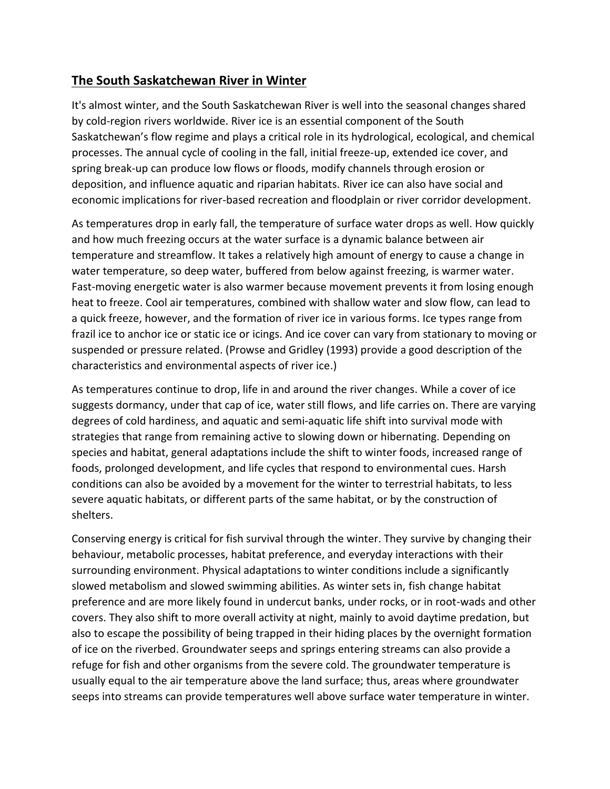## **The South Saskatchewan River in Winter**

It's almost winter, and the South Saskatchewan River is well into the seasonal changes shared by cold-region rivers worldwide. River ice is an essential component of the South Saskatchewan's flow regime and plays a critical role in its hydrological, ecological, and chemical processes. The annual cycle of cooling in the fall, initial freeze-up, extended ice cover, and spring break-up can produce low flows or floods, modify channels through erosion or deposition, and influence aquatic and riparian habitats. River ice can also have social and economic implications for river-based recreation and floodplain or river corridor development.

As temperatures drop in early fall, the temperature of surface water drops as well. How quickly and how much freezing occurs at the water surface is a dynamic balance between air temperature and streamflow. It takes a relatively high amount of energy to cause a change in water temperature, so deep water, buffered from below against freezing, is warmer water. Fast-moving energetic water is also warmer because movement prevents it from losing enough heat to freeze. Cool air temperatures, combined with shallow water and slow flow, can lead to a quick freeze, however, and the formation of river ice in various forms. Ice types range from frazil ice to anchor ice or static ice or icings. And ice cover can vary from stationary to moving or suspended or pressure related. (Prowse and Gridley (1993) provide a good description of the characteristics and environmental aspects of river ice.)

As temperatures continue to drop, life in and around the river changes. While a cover of ice suggests dormancy, under that cap of ice, water still flows, and life carries on. There are varying degrees of cold hardiness, and aquatic and semi-aquatic life shift into survival mode with strategies that range from remaining active to slowing down or hibernating. Depending on species and habitat, general adaptations include the shift to winter foods, increased range of foods, prolonged development, and life cycles that respond to environmental cues. Harsh conditions can also be avoided by a movement for the winter to terrestrial habitats, to less severe aquatic habitats, or different parts of the same habitat, or by the construction of shelters.

Conserving energy is critical for fish survival through the winter. They survive by changing their behaviour, metabolic processes, habitat preference, and everyday interactions with their surrounding environment. Physical adaptations to winter conditions include a significantly slowed metabolism and slowed swimming abilities. As winter sets in, fish change habitat preference and are more likely found in undercut banks, under rocks, or in root-wads and other covers. They also shift to more overall activity at night, mainly to avoid daytime predation, but also to escape the possibility of being trapped in their hiding places by the overnight formation of ice on the riverbed. Groundwater seeps and springs entering streams can also provide a refuge for fish and other organisms from the severe cold. The groundwater temperature is usually equal to the air temperature above the land surface; thus, areas where groundwater seeps into streams can provide temperatures well above surface water temperature in winter.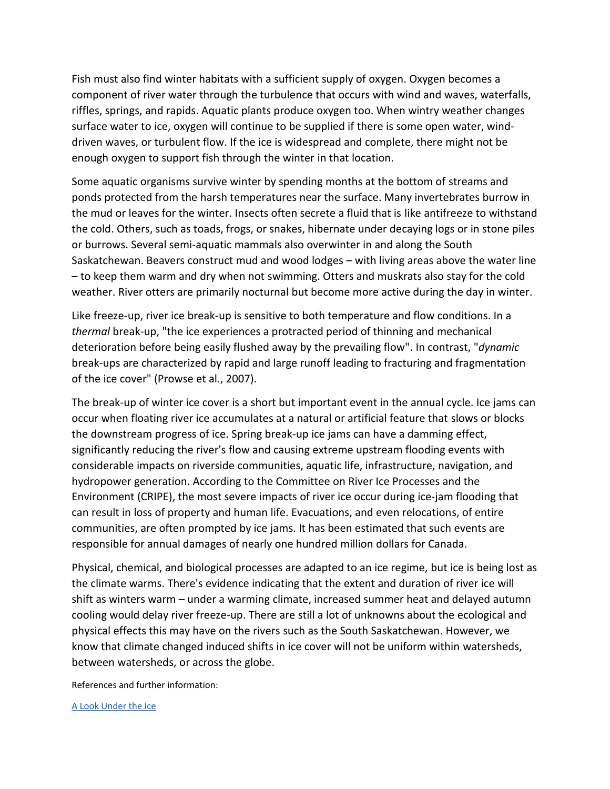Fish must also find winter habitats with a sufficient supply of oxygen. Oxygen becomes a component of river water through the turbulence that occurs with wind and waves, waterfalls, riffles, springs, and rapids. Aquatic plants produce oxygen too. When wintry weather changes surface water to ice, oxygen will continue to be supplied if there is some open water, winddriven waves, or turbulent flow. If the ice is widespread and complete, there might not be enough oxygen to support fish through the winter in that location.

Some aquatic organisms survive winter by spending months at the bottom of streams and ponds protected from the harsh temperatures near the surface. Many invertebrates burrow in the mud or leaves for the winter. Insects often secrete a fluid that is like antifreeze to withstand the cold. Others, such as toads, frogs, or snakes, hibernate under decaying logs or in stone piles or burrows. Several semi-aquatic mammals also overwinter in and along the South Saskatchewan. Beavers construct mud and wood lodges – with living areas above the water line – to keep them warm and dry when not swimming. Otters and muskrats also stay for the cold weather. River otters are primarily nocturnal but become more active during the day in winter.

Like freeze-up, river ice break-up is sensitive to both temperature and flow conditions. In a *thermal* break-up, "the ice experiences a protracted period of thinning and mechanical deterioration before being easily flushed away by the prevailing flow". In contrast, "*dynamic*  break-ups are characterized by rapid and large runoff leading to fracturing and fragmentation of the ice cover" (Prowse et al., 2007).

The break-up of winter ice cover is a short but important event in the annual cycle. Ice jams can occur when floating river ice accumulates at a natural or artificial feature that slows or blocks the downstream progress of ice. Spring break-up ice jams can have a damming effect, significantly reducing the river's flow and causing extreme upstream flooding events with considerable impacts on riverside communities, aquatic life, infrastructure, navigation, and hydropower generation. According to the Committee on River Ice Processes and the Environment (CRIPE), the most severe impacts of river ice occur during ice-jam flooding that can result in loss of property and human life. Evacuations, and even relocations, of entire communities, are often prompted by ice jams. It has been estimated that such events are responsible for annual damages of nearly one hundred million dollars for Canada.

Physical, chemical, and biological processes are adapted to an ice regime, but ice is being lost as the climate warms. There's evidence indicating that the extent and duration of river ice will shift as winters warm – under a warming climate, increased summer heat and delayed autumn cooling would delay river freeze-up. There are still a lot of unknowns about the ecological and physical effects this may have on the rivers such as the South Saskatchewan. However, we know that climate changed induced shifts in ice cover will not be uniform within watersheds, between watersheds, or across the globe.

References and further information:

## [A Look Under the Ice](https://www.ausableriver.org/blog/look-under-ice-winter-lake-ecology)